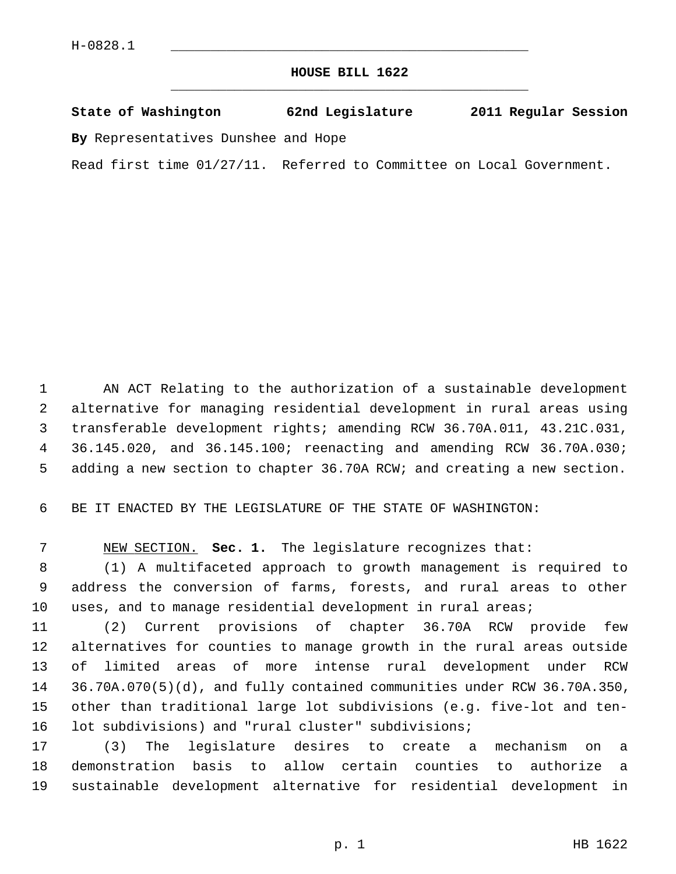## **HOUSE BILL 1622** \_\_\_\_\_\_\_\_\_\_\_\_\_\_\_\_\_\_\_\_\_\_\_\_\_\_\_\_\_\_\_\_\_\_\_\_\_\_\_\_\_\_\_\_\_

## **State of Washington 62nd Legislature 2011 Regular Session**

**By** Representatives Dunshee and Hope

Read first time 01/27/11. Referred to Committee on Local Government.

 1 AN ACT Relating to the authorization of a sustainable development 2 alternative for managing residential development in rural areas using 3 transferable development rights; amending RCW 36.70A.011, 43.21C.031, 4 36.145.020, and 36.145.100; reenacting and amending RCW 36.70A.030; 5 adding a new section to chapter 36.70A RCW; and creating a new section.

6 BE IT ENACTED BY THE LEGISLATURE OF THE STATE OF WASHINGTON:

7 NEW SECTION. **Sec. 1.** The legislature recognizes that:

 8 (1) A multifaceted approach to growth management is required to 9 address the conversion of farms, forests, and rural areas to other 10 uses, and to manage residential development in rural areas;

11 (2) Current provisions of chapter 36.70A RCW provide few 12 alternatives for counties to manage growth in the rural areas outside 13 of limited areas of more intense rural development under RCW 14 36.70A.070(5)(d), and fully contained communities under RCW 36.70A.350, 15 other than traditional large lot subdivisions (e.g. five-lot and ten-16 lot subdivisions) and "rural cluster" subdivisions;

17 (3) The legislature desires to create a mechanism on a 18 demonstration basis to allow certain counties to authorize a 19 sustainable development alternative for residential development in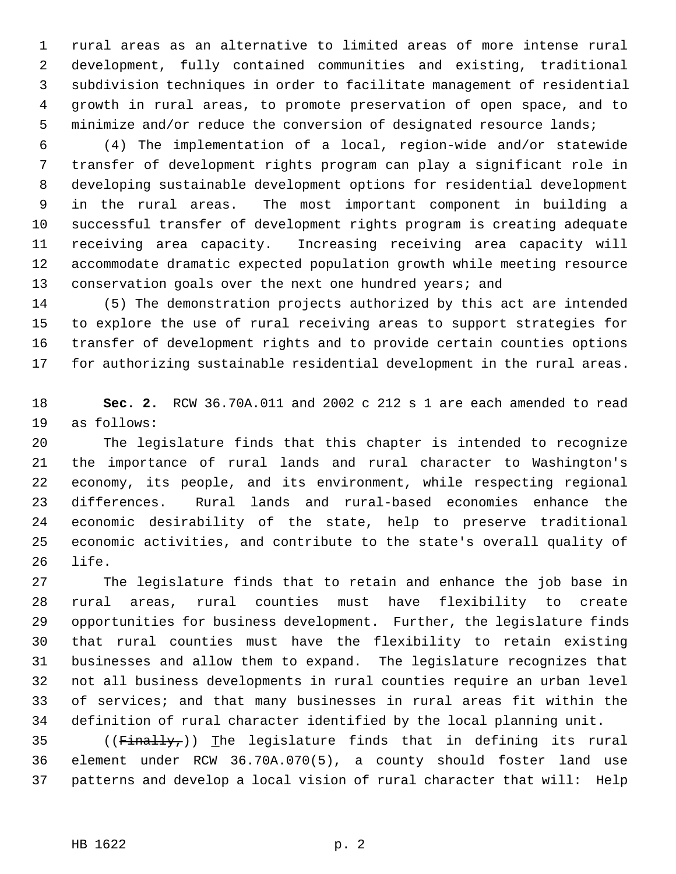1 rural areas as an alternative to limited areas of more intense rural 2 development, fully contained communities and existing, traditional 3 subdivision techniques in order to facilitate management of residential 4 growth in rural areas, to promote preservation of open space, and to 5 minimize and/or reduce the conversion of designated resource lands;

 6 (4) The implementation of a local, region-wide and/or statewide 7 transfer of development rights program can play a significant role in 8 developing sustainable development options for residential development 9 in the rural areas. The most important component in building a 10 successful transfer of development rights program is creating adequate 11 receiving area capacity. Increasing receiving area capacity will 12 accommodate dramatic expected population growth while meeting resource 13 conservation goals over the next one hundred years; and

14 (5) The demonstration projects authorized by this act are intended 15 to explore the use of rural receiving areas to support strategies for 16 transfer of development rights and to provide certain counties options 17 for authorizing sustainable residential development in the rural areas.

18 **Sec. 2.** RCW 36.70A.011 and 2002 c 212 s 1 are each amended to read 19 as follows:

20 The legislature finds that this chapter is intended to recognize 21 the importance of rural lands and rural character to Washington's 22 economy, its people, and its environment, while respecting regional 23 differences. Rural lands and rural-based economies enhance the 24 economic desirability of the state, help to preserve traditional 25 economic activities, and contribute to the state's overall quality of 26 life.

27 The legislature finds that to retain and enhance the job base in 28 rural areas, rural counties must have flexibility to create 29 opportunities for business development. Further, the legislature finds 30 that rural counties must have the flexibility to retain existing 31 businesses and allow them to expand. The legislature recognizes that 32 not all business developments in rural counties require an urban level 33 of services; and that many businesses in rural areas fit within the 34 definition of rural character identified by the local planning unit.

35 (( $F$ inally,)) The legislature finds that in defining its rural 36 element under RCW 36.70A.070(5), a county should foster land use 37 patterns and develop a local vision of rural character that will: Help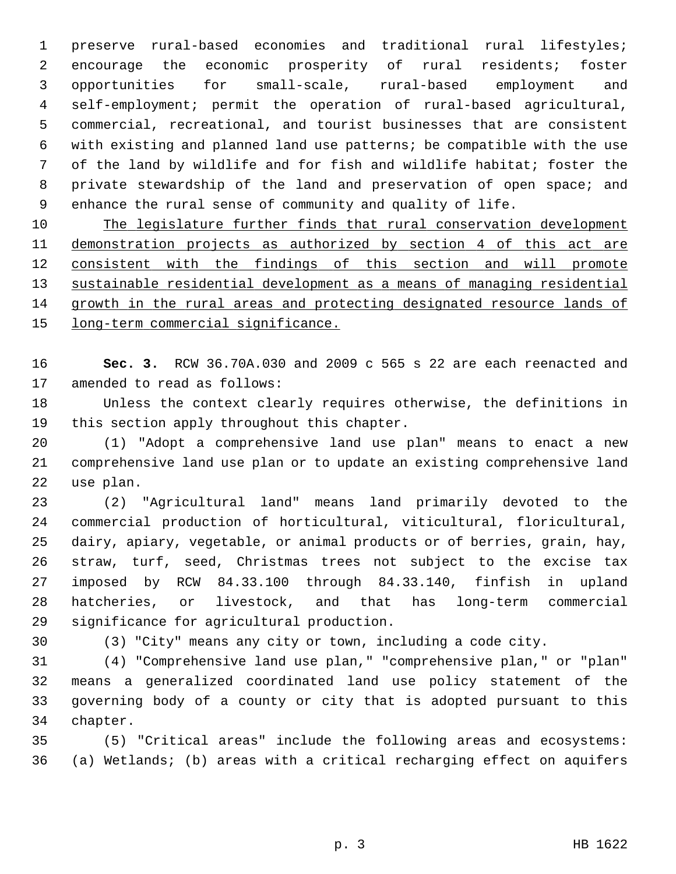1 preserve rural-based economies and traditional rural lifestyles; 2 encourage the economic prosperity of rural residents; foster 3 opportunities for small-scale, rural-based employment and 4 self-employment; permit the operation of rural-based agricultural, 5 commercial, recreational, and tourist businesses that are consistent 6 with existing and planned land use patterns; be compatible with the use 7 of the land by wildlife and for fish and wildlife habitat; foster the 8 private stewardship of the land and preservation of open space; and 9 enhance the rural sense of community and quality of life.

 The legislature further finds that rural conservation development demonstration projects as authorized by section 4 of this act are consistent with the findings of this section and will promote sustainable residential development as a means of managing residential growth in the rural areas and protecting designated resource lands of long-term commercial significance.

16 **Sec. 3.** RCW 36.70A.030 and 2009 c 565 s 22 are each reenacted and 17 amended to read as follows:

18 Unless the context clearly requires otherwise, the definitions in 19 this section apply throughout this chapter.

20 (1) "Adopt a comprehensive land use plan" means to enact a new 21 comprehensive land use plan or to update an existing comprehensive land 22 use plan.

23 (2) "Agricultural land" means land primarily devoted to the 24 commercial production of horticultural, viticultural, floricultural, 25 dairy, apiary, vegetable, or animal products or of berries, grain, hay, 26 straw, turf, seed, Christmas trees not subject to the excise tax 27 imposed by RCW 84.33.100 through 84.33.140, finfish in upland 28 hatcheries, or livestock, and that has long-term commercial 29 significance for agricultural production.

30 (3) "City" means any city or town, including a code city.

31 (4) "Comprehensive land use plan," "comprehensive plan," or "plan" 32 means a generalized coordinated land use policy statement of the 33 governing body of a county or city that is adopted pursuant to this 34 chapter.

35 (5) "Critical areas" include the following areas and ecosystems: 36 (a) Wetlands; (b) areas with a critical recharging effect on aquifers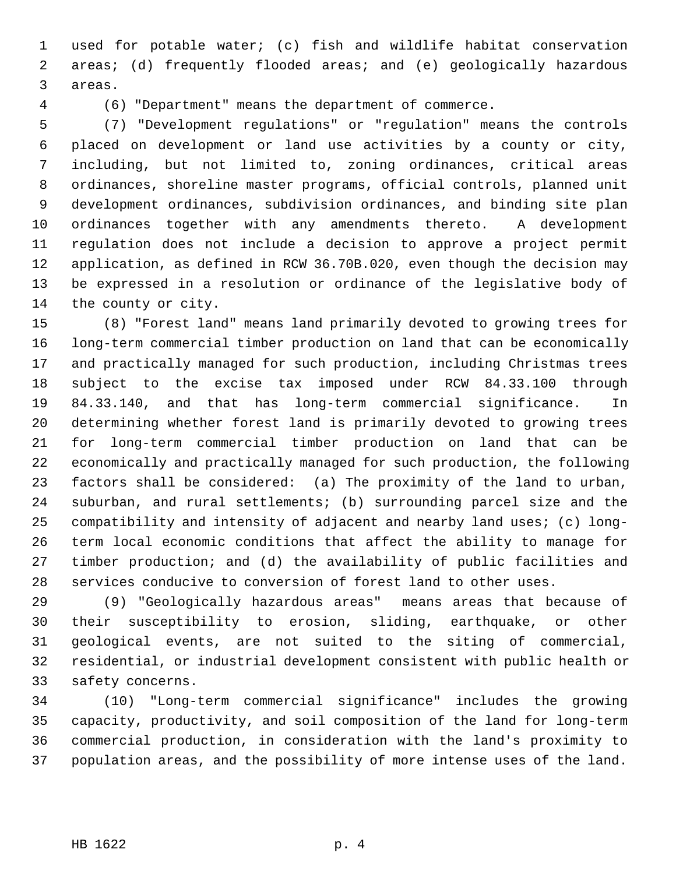1 used for potable water; (c) fish and wildlife habitat conservation 2 areas; (d) frequently flooded areas; and (e) geologically hazardous 3 areas.

4 (6) "Department" means the department of commerce.

 5 (7) "Development regulations" or "regulation" means the controls 6 placed on development or land use activities by a county or city, 7 including, but not limited to, zoning ordinances, critical areas 8 ordinances, shoreline master programs, official controls, planned unit 9 development ordinances, subdivision ordinances, and binding site plan 10 ordinances together with any amendments thereto. A development 11 regulation does not include a decision to approve a project permit 12 application, as defined in RCW 36.70B.020, even though the decision may 13 be expressed in a resolution or ordinance of the legislative body of 14 the county or city.

15 (8) "Forest land" means land primarily devoted to growing trees for 16 long-term commercial timber production on land that can be economically 17 and practically managed for such production, including Christmas trees 18 subject to the excise tax imposed under RCW 84.33.100 through 19 84.33.140, and that has long-term commercial significance. In 20 determining whether forest land is primarily devoted to growing trees 21 for long-term commercial timber production on land that can be 22 economically and practically managed for such production, the following 23 factors shall be considered: (a) The proximity of the land to urban, 24 suburban, and rural settlements; (b) surrounding parcel size and the 25 compatibility and intensity of adjacent and nearby land uses; (c) long-26 term local economic conditions that affect the ability to manage for 27 timber production; and (d) the availability of public facilities and 28 services conducive to conversion of forest land to other uses.

29 (9) "Geologically hazardous areas" means areas that because of 30 their susceptibility to erosion, sliding, earthquake, or other 31 geological events, are not suited to the siting of commercial, 32 residential, or industrial development consistent with public health or 33 safety concerns.

34 (10) "Long-term commercial significance" includes the growing 35 capacity, productivity, and soil composition of the land for long-term 36 commercial production, in consideration with the land's proximity to 37 population areas, and the possibility of more intense uses of the land.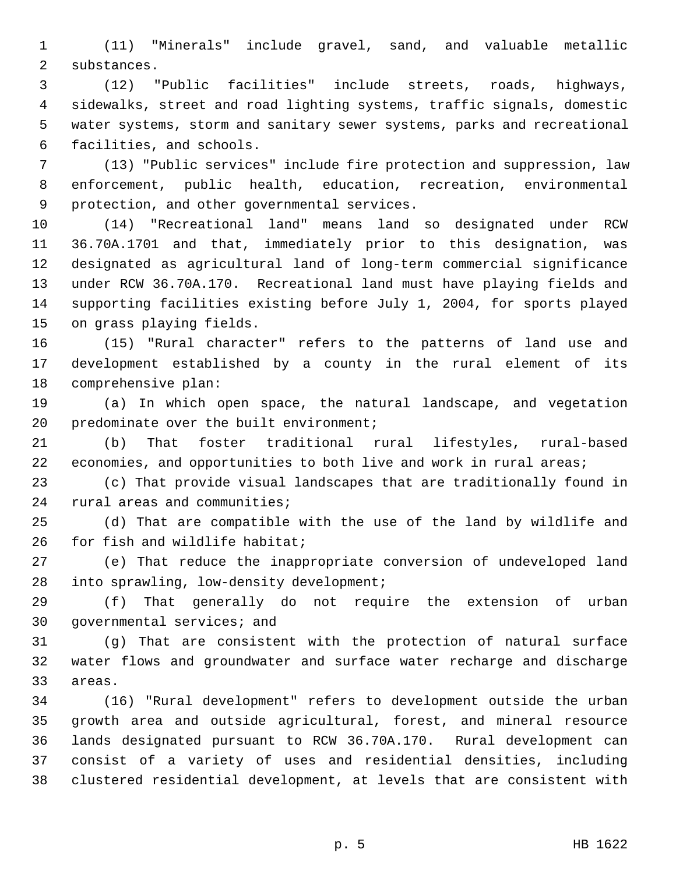1 (11) "Minerals" include gravel, sand, and valuable metallic 2 substances.

 3 (12) "Public facilities" include streets, roads, highways, 4 sidewalks, street and road lighting systems, traffic signals, domestic 5 water systems, storm and sanitary sewer systems, parks and recreational 6 facilities, and schools.

 7 (13) "Public services" include fire protection and suppression, law 8 enforcement, public health, education, recreation, environmental 9 protection, and other governmental services.

10 (14) "Recreational land" means land so designated under RCW 11 36.70A.1701 and that, immediately prior to this designation, was 12 designated as agricultural land of long-term commercial significance 13 under RCW 36.70A.170. Recreational land must have playing fields and 14 supporting facilities existing before July 1, 2004, for sports played 15 on grass playing fields.

16 (15) "Rural character" refers to the patterns of land use and 17 development established by a county in the rural element of its 18 comprehensive plan:

19 (a) In which open space, the natural landscape, and vegetation 20 predominate over the built environment;

21 (b) That foster traditional rural lifestyles, rural-based 22 economies, and opportunities to both live and work in rural areas;

23 (c) That provide visual landscapes that are traditionally found in 24 rural areas and communities;

25 (d) That are compatible with the use of the land by wildlife and 26 for fish and wildlife habitat;

27 (e) That reduce the inappropriate conversion of undeveloped land 28 into sprawling, low-density development;

29 (f) That generally do not require the extension of urban 30 governmental services; and

31 (g) That are consistent with the protection of natural surface 32 water flows and groundwater and surface water recharge and discharge 33 areas.

34 (16) "Rural development" refers to development outside the urban 35 growth area and outside agricultural, forest, and mineral resource 36 lands designated pursuant to RCW 36.70A.170. Rural development can 37 consist of a variety of uses and residential densities, including 38 clustered residential development, at levels that are consistent with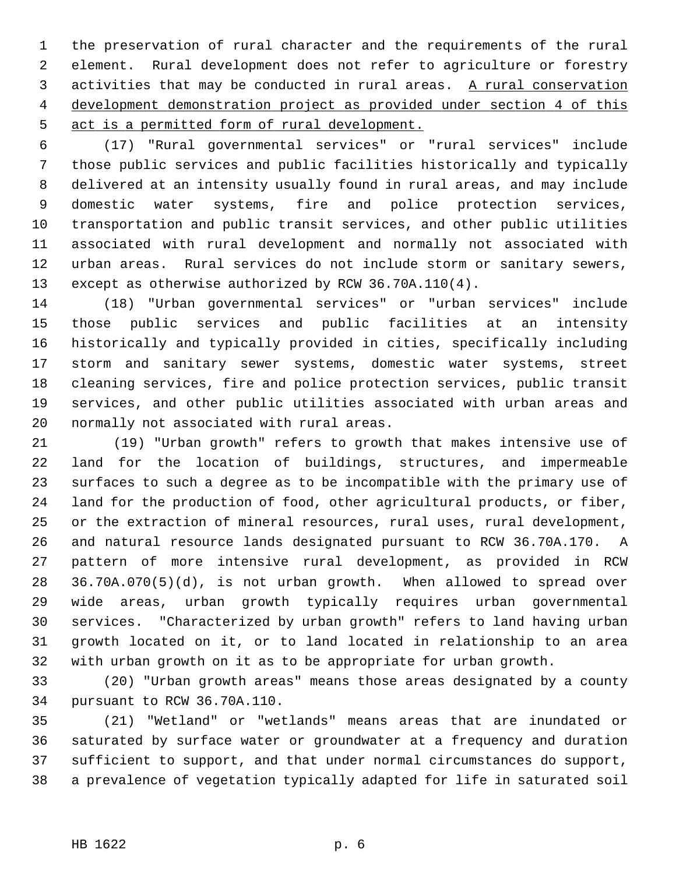1 the preservation of rural character and the requirements of the rural 2 element. Rural development does not refer to agriculture or forestry 3 activities that may be conducted in rural areas. A rural conservation 4 development demonstration project as provided under section 4 of this 5 act is a permitted form of rural development.

 6 (17) "Rural governmental services" or "rural services" include 7 those public services and public facilities historically and typically 8 delivered at an intensity usually found in rural areas, and may include 9 domestic water systems, fire and police protection services, 10 transportation and public transit services, and other public utilities 11 associated with rural development and normally not associated with 12 urban areas. Rural services do not include storm or sanitary sewers, 13 except as otherwise authorized by RCW 36.70A.110(4).

14 (18) "Urban governmental services" or "urban services" include 15 those public services and public facilities at an intensity 16 historically and typically provided in cities, specifically including 17 storm and sanitary sewer systems, domestic water systems, street 18 cleaning services, fire and police protection services, public transit 19 services, and other public utilities associated with urban areas and 20 normally not associated with rural areas.

21 (19) "Urban growth" refers to growth that makes intensive use of 22 land for the location of buildings, structures, and impermeable 23 surfaces to such a degree as to be incompatible with the primary use of 24 land for the production of food, other agricultural products, or fiber, 25 or the extraction of mineral resources, rural uses, rural development, 26 and natural resource lands designated pursuant to RCW 36.70A.170. A 27 pattern of more intensive rural development, as provided in RCW 28 36.70A.070(5)(d), is not urban growth. When allowed to spread over 29 wide areas, urban growth typically requires urban governmental 30 services. "Characterized by urban growth" refers to land having urban 31 growth located on it, or to land located in relationship to an area 32 with urban growth on it as to be appropriate for urban growth.

33 (20) "Urban growth areas" means those areas designated by a county 34 pursuant to RCW 36.70A.110.

35 (21) "Wetland" or "wetlands" means areas that are inundated or 36 saturated by surface water or groundwater at a frequency and duration 37 sufficient to support, and that under normal circumstances do support, 38 a prevalence of vegetation typically adapted for life in saturated soil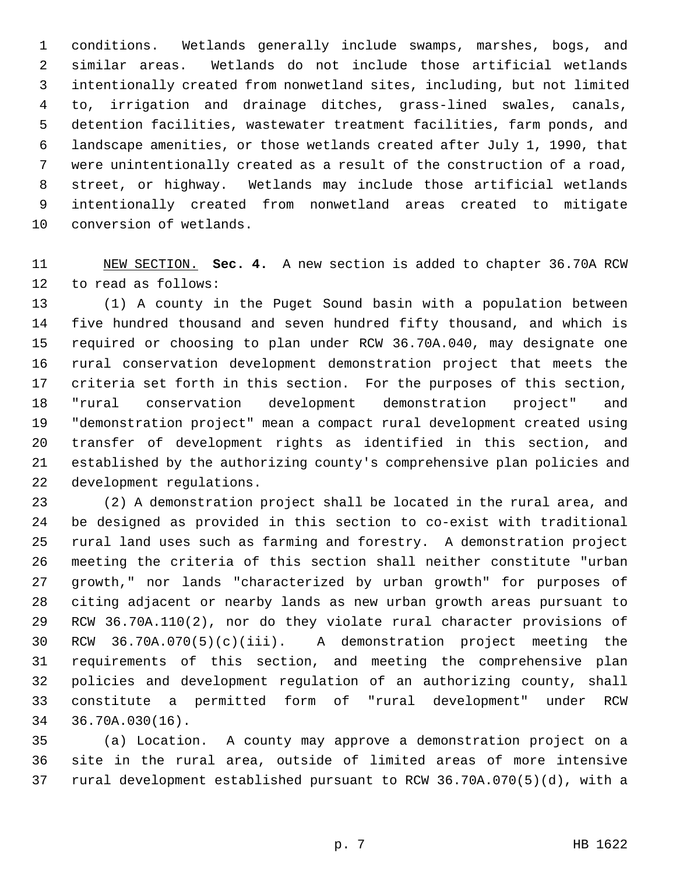1 conditions. Wetlands generally include swamps, marshes, bogs, and 2 similar areas. Wetlands do not include those artificial wetlands 3 intentionally created from nonwetland sites, including, but not limited 4 to, irrigation and drainage ditches, grass-lined swales, canals, 5 detention facilities, wastewater treatment facilities, farm ponds, and 6 landscape amenities, or those wetlands created after July 1, 1990, that 7 were unintentionally created as a result of the construction of a road, 8 street, or highway. Wetlands may include those artificial wetlands 9 intentionally created from nonwetland areas created to mitigate 10 conversion of wetlands.

## 11 NEW SECTION. **Sec. 4.** A new section is added to chapter 36.70A RCW 12 to read as follows:

13 (1) A county in the Puget Sound basin with a population between 14 five hundred thousand and seven hundred fifty thousand, and which is 15 required or choosing to plan under RCW 36.70A.040, may designate one 16 rural conservation development demonstration project that meets the 17 criteria set forth in this section. For the purposes of this section, 18 "rural conservation development demonstration project" and 19 "demonstration project" mean a compact rural development created using 20 transfer of development rights as identified in this section, and 21 established by the authorizing county's comprehensive plan policies and 22 development regulations.

23 (2) A demonstration project shall be located in the rural area, and 24 be designed as provided in this section to co-exist with traditional 25 rural land uses such as farming and forestry. A demonstration project 26 meeting the criteria of this section shall neither constitute "urban 27 growth," nor lands "characterized by urban growth" for purposes of 28 citing adjacent or nearby lands as new urban growth areas pursuant to 29 RCW 36.70A.110(2), nor do they violate rural character provisions of 30 RCW 36.70A.070(5)(c)(iii). A demonstration project meeting the 31 requirements of this section, and meeting the comprehensive plan 32 policies and development regulation of an authorizing county, shall 33 constitute a permitted form of "rural development" under RCW 34 36.70A.030(16).

35 (a) Location. A county may approve a demonstration project on a 36 site in the rural area, outside of limited areas of more intensive 37 rural development established pursuant to RCW 36.70A.070(5)(d), with a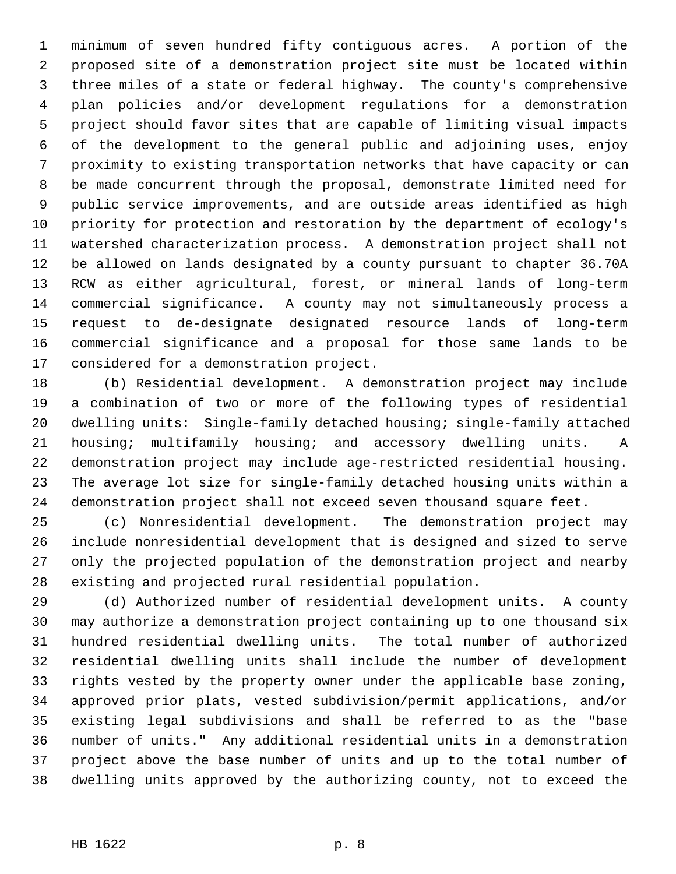1 minimum of seven hundred fifty contiguous acres. A portion of the 2 proposed site of a demonstration project site must be located within 3 three miles of a state or federal highway. The county's comprehensive 4 plan policies and/or development regulations for a demonstration 5 project should favor sites that are capable of limiting visual impacts 6 of the development to the general public and adjoining uses, enjoy 7 proximity to existing transportation networks that have capacity or can 8 be made concurrent through the proposal, demonstrate limited need for 9 public service improvements, and are outside areas identified as high 10 priority for protection and restoration by the department of ecology's 11 watershed characterization process. A demonstration project shall not 12 be allowed on lands designated by a county pursuant to chapter 36.70A 13 RCW as either agricultural, forest, or mineral lands of long-term 14 commercial significance. A county may not simultaneously process a 15 request to de-designate designated resource lands of long-term 16 commercial significance and a proposal for those same lands to be 17 considered for a demonstration project.

18 (b) Residential development. A demonstration project may include 19 a combination of two or more of the following types of residential 20 dwelling units: Single-family detached housing; single-family attached 21 housing; multifamily housing; and accessory dwelling units. A 22 demonstration project may include age-restricted residential housing. 23 The average lot size for single-family detached housing units within a 24 demonstration project shall not exceed seven thousand square feet.

25 (c) Nonresidential development. The demonstration project may 26 include nonresidential development that is designed and sized to serve 27 only the projected population of the demonstration project and nearby 28 existing and projected rural residential population.

29 (d) Authorized number of residential development units. A county 30 may authorize a demonstration project containing up to one thousand six 31 hundred residential dwelling units. The total number of authorized 32 residential dwelling units shall include the number of development 33 rights vested by the property owner under the applicable base zoning, 34 approved prior plats, vested subdivision/permit applications, and/or 35 existing legal subdivisions and shall be referred to as the "base 36 number of units." Any additional residential units in a demonstration 37 project above the base number of units and up to the total number of 38 dwelling units approved by the authorizing county, not to exceed the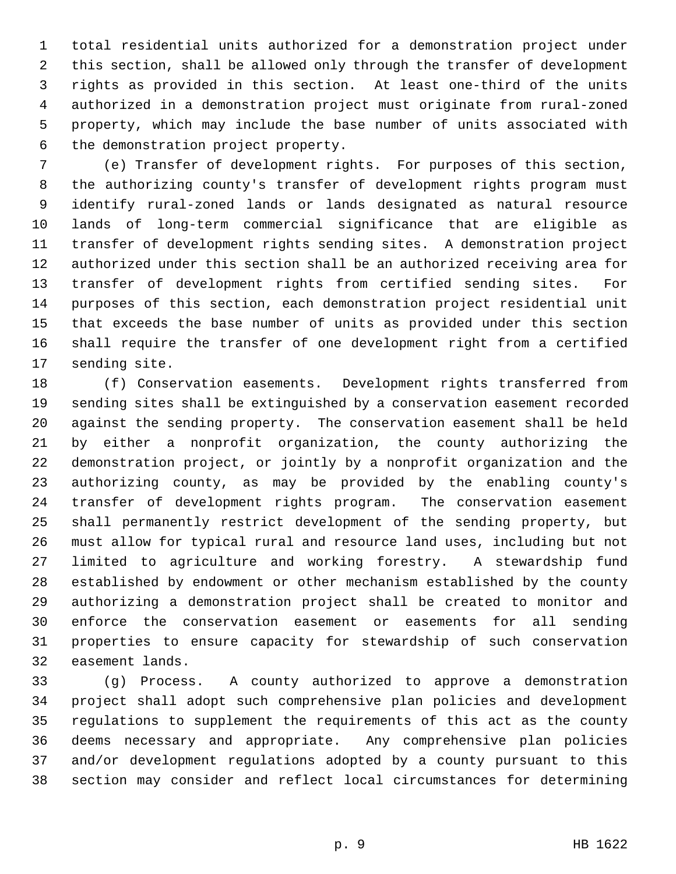1 total residential units authorized for a demonstration project under 2 this section, shall be allowed only through the transfer of development 3 rights as provided in this section. At least one-third of the units 4 authorized in a demonstration project must originate from rural-zoned 5 property, which may include the base number of units associated with 6 the demonstration project property.

 7 (e) Transfer of development rights. For purposes of this section, 8 the authorizing county's transfer of development rights program must 9 identify rural-zoned lands or lands designated as natural resource 10 lands of long-term commercial significance that are eligible as 11 transfer of development rights sending sites. A demonstration project 12 authorized under this section shall be an authorized receiving area for 13 transfer of development rights from certified sending sites. For 14 purposes of this section, each demonstration project residential unit 15 that exceeds the base number of units as provided under this section 16 shall require the transfer of one development right from a certified 17 sending site.

18 (f) Conservation easements. Development rights transferred from 19 sending sites shall be extinguished by a conservation easement recorded 20 against the sending property. The conservation easement shall be held 21 by either a nonprofit organization, the county authorizing the 22 demonstration project, or jointly by a nonprofit organization and the 23 authorizing county, as may be provided by the enabling county's 24 transfer of development rights program. The conservation easement 25 shall permanently restrict development of the sending property, but 26 must allow for typical rural and resource land uses, including but not 27 limited to agriculture and working forestry. A stewardship fund 28 established by endowment or other mechanism established by the county 29 authorizing a demonstration project shall be created to monitor and 30 enforce the conservation easement or easements for all sending 31 properties to ensure capacity for stewardship of such conservation 32 easement lands.

33 (g) Process. A county authorized to approve a demonstration 34 project shall adopt such comprehensive plan policies and development 35 regulations to supplement the requirements of this act as the county 36 deems necessary and appropriate. Any comprehensive plan policies 37 and/or development regulations adopted by a county pursuant to this 38 section may consider and reflect local circumstances for determining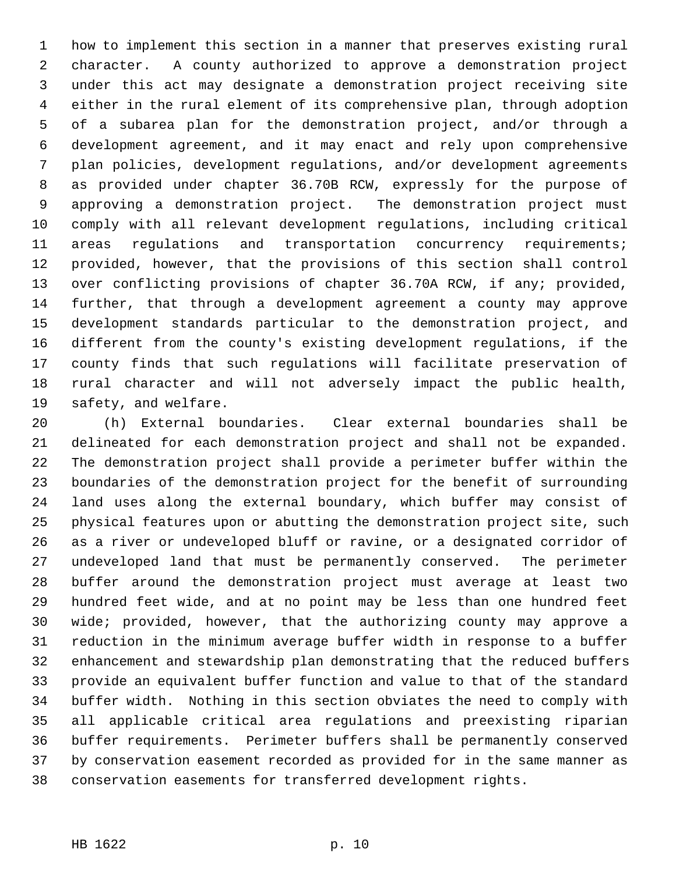1 how to implement this section in a manner that preserves existing rural 2 character. A county authorized to approve a demonstration project 3 under this act may designate a demonstration project receiving site 4 either in the rural element of its comprehensive plan, through adoption 5 of a subarea plan for the demonstration project, and/or through a 6 development agreement, and it may enact and rely upon comprehensive 7 plan policies, development regulations, and/or development agreements 8 as provided under chapter 36.70B RCW, expressly for the purpose of 9 approving a demonstration project. The demonstration project must 10 comply with all relevant development regulations, including critical 11 areas regulations and transportation concurrency requirements; 12 provided, however, that the provisions of this section shall control 13 over conflicting provisions of chapter 36.70A RCW, if any; provided, 14 further, that through a development agreement a county may approve 15 development standards particular to the demonstration project, and 16 different from the county's existing development regulations, if the 17 county finds that such regulations will facilitate preservation of 18 rural character and will not adversely impact the public health, 19 safety, and welfare.

20 (h) External boundaries. Clear external boundaries shall be 21 delineated for each demonstration project and shall not be expanded. 22 The demonstration project shall provide a perimeter buffer within the 23 boundaries of the demonstration project for the benefit of surrounding 24 land uses along the external boundary, which buffer may consist of 25 physical features upon or abutting the demonstration project site, such 26 as a river or undeveloped bluff or ravine, or a designated corridor of 27 undeveloped land that must be permanently conserved. The perimeter 28 buffer around the demonstration project must average at least two 29 hundred feet wide, and at no point may be less than one hundred feet 30 wide; provided, however, that the authorizing county may approve a 31 reduction in the minimum average buffer width in response to a buffer 32 enhancement and stewardship plan demonstrating that the reduced buffers 33 provide an equivalent buffer function and value to that of the standard 34 buffer width. Nothing in this section obviates the need to comply with 35 all applicable critical area regulations and preexisting riparian 36 buffer requirements. Perimeter buffers shall be permanently conserved 37 by conservation easement recorded as provided for in the same manner as 38 conservation easements for transferred development rights.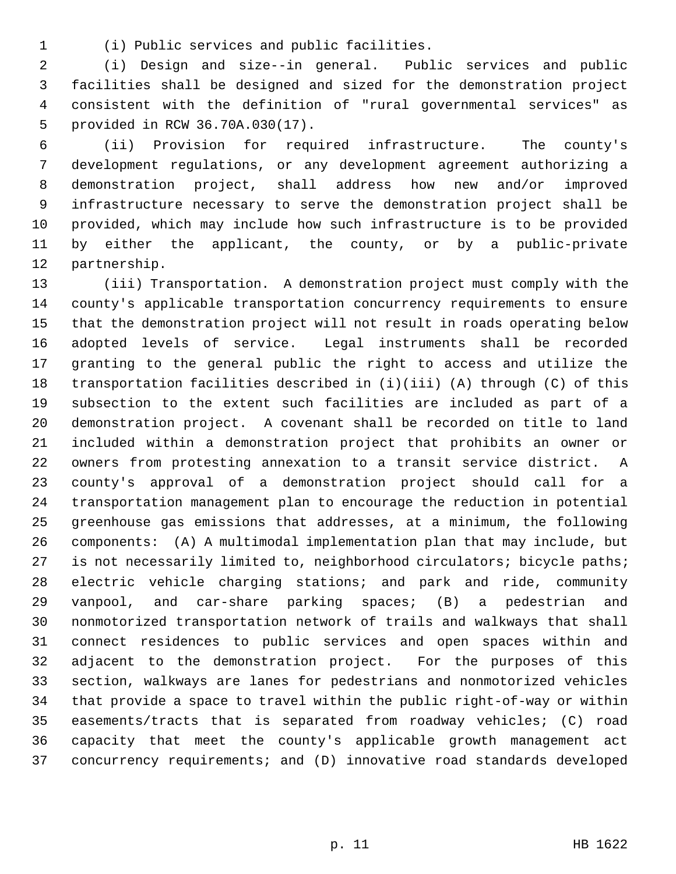1 (i) Public services and public facilities.

 2 (i) Design and size--in general. Public services and public 3 facilities shall be designed and sized for the demonstration project 4 consistent with the definition of "rural governmental services" as 5 provided in RCW 36.70A.030(17).

 6 (ii) Provision for required infrastructure. The county's 7 development regulations, or any development agreement authorizing a 8 demonstration project, shall address how new and/or improved 9 infrastructure necessary to serve the demonstration project shall be 10 provided, which may include how such infrastructure is to be provided 11 by either the applicant, the county, or by a public-private 12 partnership.

13 (iii) Transportation. A demonstration project must comply with the 14 county's applicable transportation concurrency requirements to ensure 15 that the demonstration project will not result in roads operating below 16 adopted levels of service. Legal instruments shall be recorded 17 granting to the general public the right to access and utilize the 18 transportation facilities described in (i)(iii) (A) through (C) of this 19 subsection to the extent such facilities are included as part of a 20 demonstration project. A covenant shall be recorded on title to land 21 included within a demonstration project that prohibits an owner or 22 owners from protesting annexation to a transit service district. A 23 county's approval of a demonstration project should call for a 24 transportation management plan to encourage the reduction in potential 25 greenhouse gas emissions that addresses, at a minimum, the following 26 components: (A) A multimodal implementation plan that may include, but 27 is not necessarily limited to, neighborhood circulators; bicycle paths; 28 electric vehicle charging stations; and park and ride, community 29 vanpool, and car-share parking spaces; (B) a pedestrian and 30 nonmotorized transportation network of trails and walkways that shall 31 connect residences to public services and open spaces within and 32 adjacent to the demonstration project. For the purposes of this 33 section, walkways are lanes for pedestrians and nonmotorized vehicles 34 that provide a space to travel within the public right-of-way or within 35 easements/tracts that is separated from roadway vehicles; (C) road 36 capacity that meet the county's applicable growth management act 37 concurrency requirements; and (D) innovative road standards developed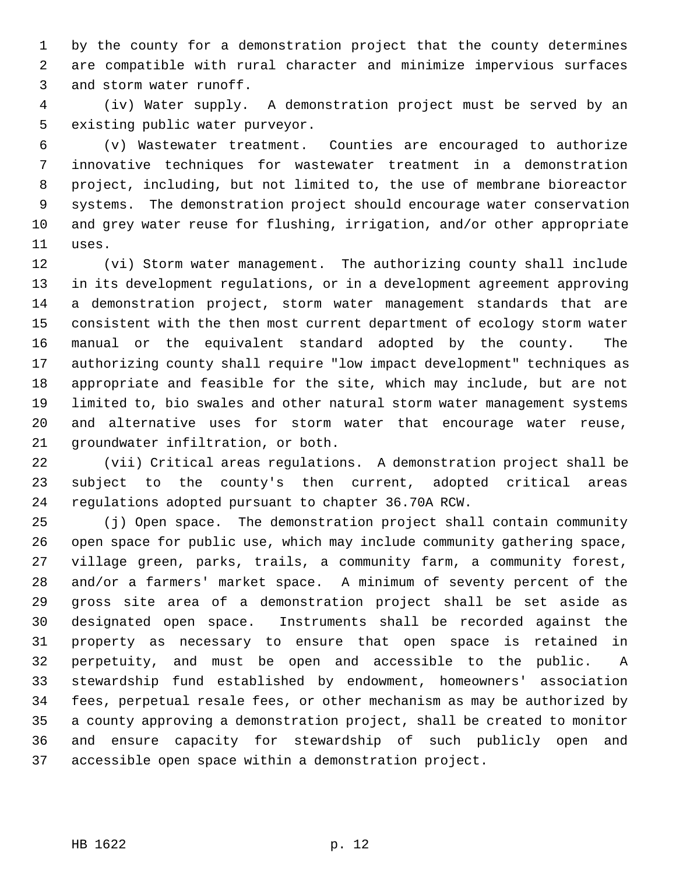1 by the county for a demonstration project that the county determines 2 are compatible with rural character and minimize impervious surfaces 3 and storm water runoff.

 4 (iv) Water supply. A demonstration project must be served by an 5 existing public water purveyor.

 6 (v) Wastewater treatment. Counties are encouraged to authorize 7 innovative techniques for wastewater treatment in a demonstration 8 project, including, but not limited to, the use of membrane bioreactor 9 systems. The demonstration project should encourage water conservation 10 and grey water reuse for flushing, irrigation, and/or other appropriate 11 uses.

12 (vi) Storm water management. The authorizing county shall include 13 in its development regulations, or in a development agreement approving 14 a demonstration project, storm water management standards that are 15 consistent with the then most current department of ecology storm water 16 manual or the equivalent standard adopted by the county. The 17 authorizing county shall require "low impact development" techniques as 18 appropriate and feasible for the site, which may include, but are not 19 limited to, bio swales and other natural storm water management systems 20 and alternative uses for storm water that encourage water reuse, 21 groundwater infiltration, or both.

22 (vii) Critical areas regulations. A demonstration project shall be 23 subject to the county's then current, adopted critical areas 24 regulations adopted pursuant to chapter 36.70A RCW.

25 (j) Open space. The demonstration project shall contain community 26 open space for public use, which may include community gathering space, 27 village green, parks, trails, a community farm, a community forest, 28 and/or a farmers' market space. A minimum of seventy percent of the 29 gross site area of a demonstration project shall be set aside as 30 designated open space. Instruments shall be recorded against the 31 property as necessary to ensure that open space is retained in 32 perpetuity, and must be open and accessible to the public. A 33 stewardship fund established by endowment, homeowners' association 34 fees, perpetual resale fees, or other mechanism as may be authorized by 35 a county approving a demonstration project, shall be created to monitor 36 and ensure capacity for stewardship of such publicly open and 37 accessible open space within a demonstration project.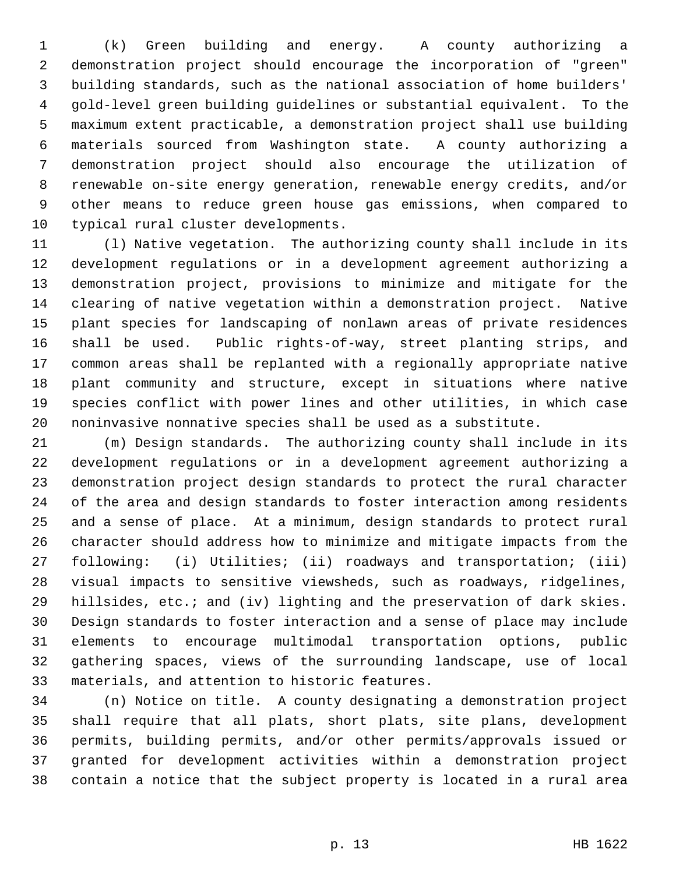1 (k) Green building and energy. A county authorizing a 2 demonstration project should encourage the incorporation of "green" 3 building standards, such as the national association of home builders' 4 gold-level green building guidelines or substantial equivalent. To the 5 maximum extent practicable, a demonstration project shall use building 6 materials sourced from Washington state. A county authorizing a 7 demonstration project should also encourage the utilization of 8 renewable on-site energy generation, renewable energy credits, and/or 9 other means to reduce green house gas emissions, when compared to 10 typical rural cluster developments.

11 (l) Native vegetation. The authorizing county shall include in its 12 development regulations or in a development agreement authorizing a 13 demonstration project, provisions to minimize and mitigate for the 14 clearing of native vegetation within a demonstration project. Native 15 plant species for landscaping of nonlawn areas of private residences 16 shall be used. Public rights-of-way, street planting strips, and 17 common areas shall be replanted with a regionally appropriate native 18 plant community and structure, except in situations where native 19 species conflict with power lines and other utilities, in which case 20 noninvasive nonnative species shall be used as a substitute.

21 (m) Design standards. The authorizing county shall include in its 22 development regulations or in a development agreement authorizing a 23 demonstration project design standards to protect the rural character 24 of the area and design standards to foster interaction among residents 25 and a sense of place. At a minimum, design standards to protect rural 26 character should address how to minimize and mitigate impacts from the 27 following: (i) Utilities; (ii) roadways and transportation; (iii) 28 visual impacts to sensitive viewsheds, such as roadways, ridgelines, 29 hillsides, etc.; and (iv) lighting and the preservation of dark skies. 30 Design standards to foster interaction and a sense of place may include 31 elements to encourage multimodal transportation options, public 32 gathering spaces, views of the surrounding landscape, use of local 33 materials, and attention to historic features.

34 (n) Notice on title. A county designating a demonstration project 35 shall require that all plats, short plats, site plans, development 36 permits, building permits, and/or other permits/approvals issued or 37 granted for development activities within a demonstration project 38 contain a notice that the subject property is located in a rural area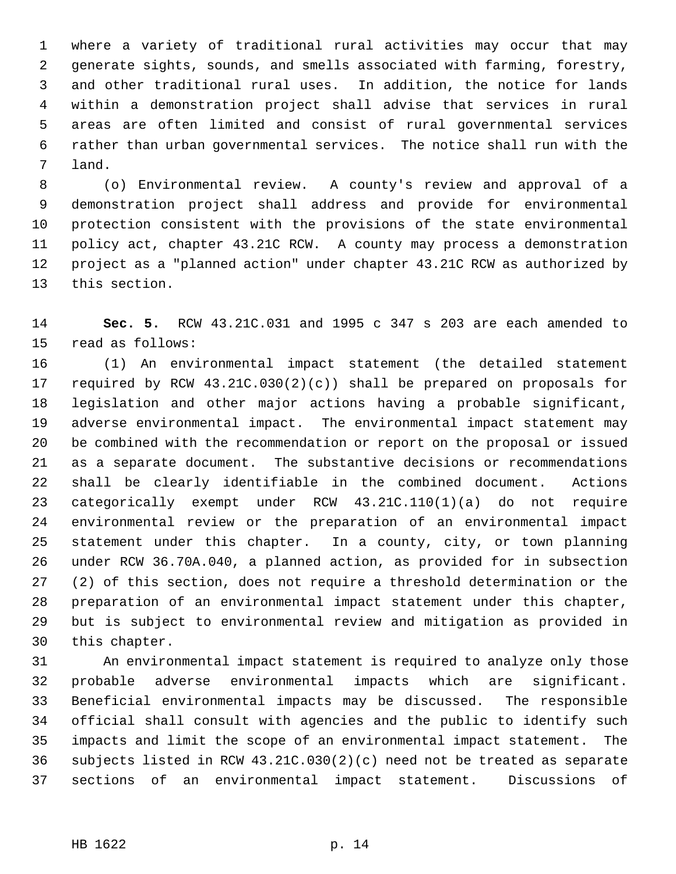1 where a variety of traditional rural activities may occur that may 2 generate sights, sounds, and smells associated with farming, forestry, 3 and other traditional rural uses. In addition, the notice for lands 4 within a demonstration project shall advise that services in rural 5 areas are often limited and consist of rural governmental services 6 rather than urban governmental services. The notice shall run with the 7 land.

 8 (o) Environmental review. A county's review and approval of a 9 demonstration project shall address and provide for environmental 10 protection consistent with the provisions of the state environmental 11 policy act, chapter 43.21C RCW. A county may process a demonstration 12 project as a "planned action" under chapter 43.21C RCW as authorized by 13 this section.

14 **Sec. 5.** RCW 43.21C.031 and 1995 c 347 s 203 are each amended to 15 read as follows:

16 (1) An environmental impact statement (the detailed statement 17 required by RCW 43.21C.030(2)(c)) shall be prepared on proposals for 18 legislation and other major actions having a probable significant, 19 adverse environmental impact. The environmental impact statement may 20 be combined with the recommendation or report on the proposal or issued 21 as a separate document. The substantive decisions or recommendations 22 shall be clearly identifiable in the combined document. Actions 23 categorically exempt under RCW 43.21C.110(1)(a) do not require 24 environmental review or the preparation of an environmental impact 25 statement under this chapter. In a county, city, or town planning 26 under RCW 36.70A.040, a planned action, as provided for in subsection 27 (2) of this section, does not require a threshold determination or the 28 preparation of an environmental impact statement under this chapter, 29 but is subject to environmental review and mitigation as provided in 30 this chapter.

31 An environmental impact statement is required to analyze only those 32 probable adverse environmental impacts which are significant. 33 Beneficial environmental impacts may be discussed. The responsible 34 official shall consult with agencies and the public to identify such 35 impacts and limit the scope of an environmental impact statement. The 36 subjects listed in RCW 43.21C.030(2)(c) need not be treated as separate 37 sections of an environmental impact statement. Discussions of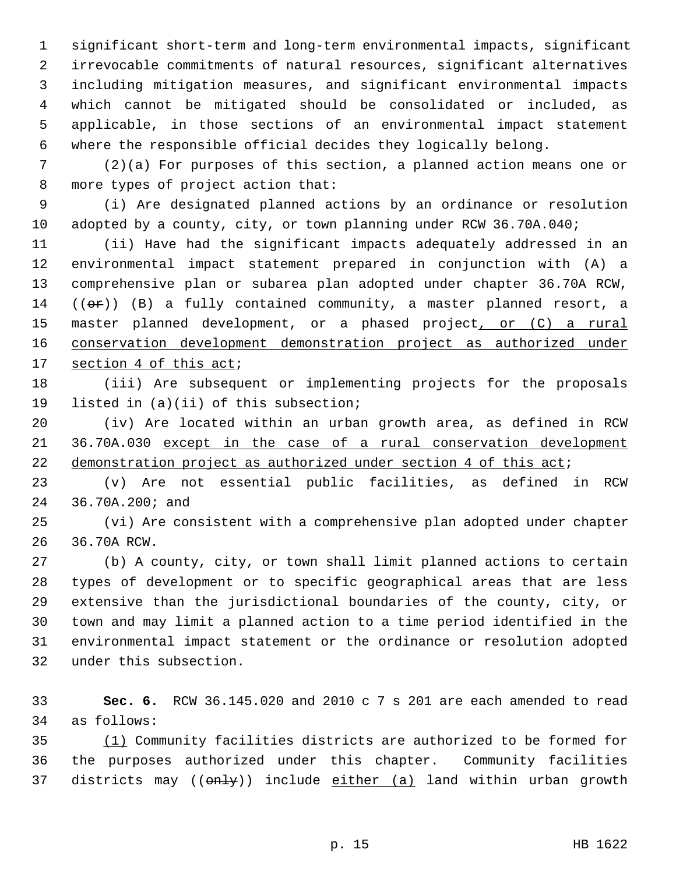1 significant short-term and long-term environmental impacts, significant 2 irrevocable commitments of natural resources, significant alternatives 3 including mitigation measures, and significant environmental impacts 4 which cannot be mitigated should be consolidated or included, as 5 applicable, in those sections of an environmental impact statement 6 where the responsible official decides they logically belong.

 7 (2)(a) For purposes of this section, a planned action means one or 8 more types of project action that:

 9 (i) Are designated planned actions by an ordinance or resolution 10 adopted by a county, city, or town planning under RCW 36.70A.040;

11 (ii) Have had the significant impacts adequately addressed in an 12 environmental impact statement prepared in conjunction with (A) a 13 comprehensive plan or subarea plan adopted under chapter 36.70A RCW, 14  $((\theta \cdot \hat{r}))$  (B) a fully contained community, a master planned resort, a 15 master planned development, or a phased project, or (C) a rural 16 conservation development demonstration project as authorized under 17 section 4 of this act;

18 (iii) Are subsequent or implementing projects for the proposals 19 listed in (a)(ii) of this subsection;

20 (iv) Are located within an urban growth area, as defined in RCW 21 36.70A.030 except in the case of a rural conservation development 22 demonstration project as authorized under section 4 of this act;

23 (v) Are not essential public facilities, as defined in RCW 24 36.70A.200; and

25 (vi) Are consistent with a comprehensive plan adopted under chapter 26 36.70A RCW.

27 (b) A county, city, or town shall limit planned actions to certain 28 types of development or to specific geographical areas that are less 29 extensive than the jurisdictional boundaries of the county, city, or 30 town and may limit a planned action to a time period identified in the 31 environmental impact statement or the ordinance or resolution adopted 32 under this subsection.

33 **Sec. 6.** RCW 36.145.020 and 2010 c 7 s 201 are each amended to read 34 as follows:

35 (1) Community facilities districts are authorized to be formed for 36 the purposes authorized under this chapter. Community facilities 37 districts may (( $\theta$ nly)) include either (a) land within urban growth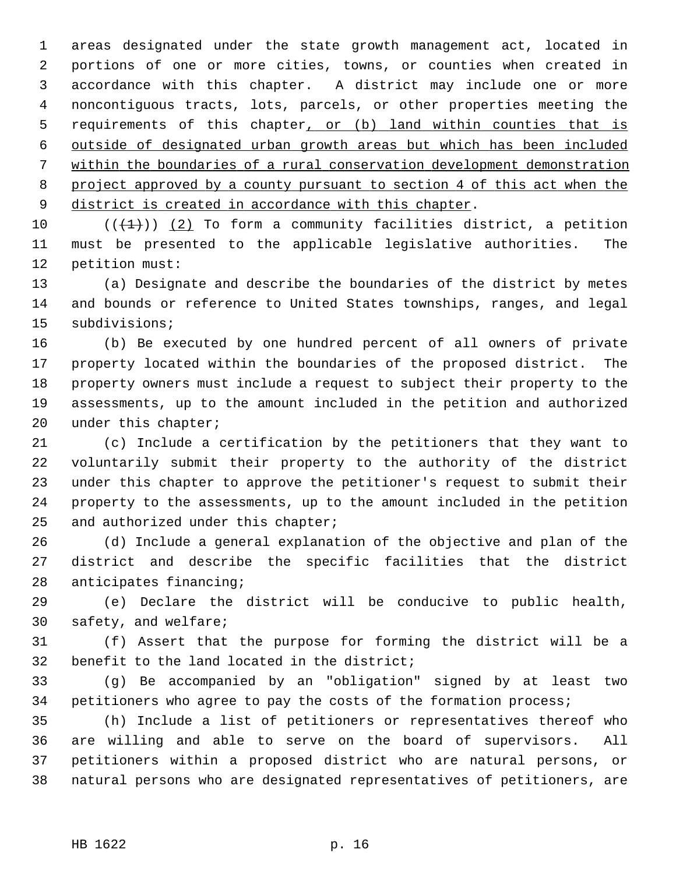1 areas designated under the state growth management act, located in 2 portions of one or more cities, towns, or counties when created in 3 accordance with this chapter. A district may include one or more 4 noncontiguous tracts, lots, parcels, or other properties meeting the 5 requirements of this chapter, or (b) land within counties that is 6 outside of designated urban growth areas but which has been included 7 within the boundaries of a rural conservation development demonstration 8 project approved by a county pursuant to section 4 of this act when the 9 district is created in accordance with this chapter.

10  $((+1))$  (2) To form a community facilities district, a petition 11 must be presented to the applicable legislative authorities. The 12 petition must:

13 (a) Designate and describe the boundaries of the district by metes 14 and bounds or reference to United States townships, ranges, and legal 15 subdivisions;

16 (b) Be executed by one hundred percent of all owners of private 17 property located within the boundaries of the proposed district. The 18 property owners must include a request to subject their property to the 19 assessments, up to the amount included in the petition and authorized 20 under this chapter;

21 (c) Include a certification by the petitioners that they want to 22 voluntarily submit their property to the authority of the district 23 under this chapter to approve the petitioner's request to submit their 24 property to the assessments, up to the amount included in the petition 25 and authorized under this chapter;

26 (d) Include a general explanation of the objective and plan of the 27 district and describe the specific facilities that the district 28 anticipates financing;

29 (e) Declare the district will be conducive to public health, 30 safety, and welfare;

31 (f) Assert that the purpose for forming the district will be a 32 benefit to the land located in the district;

33 (g) Be accompanied by an "obligation" signed by at least two 34 petitioners who agree to pay the costs of the formation process;

35 (h) Include a list of petitioners or representatives thereof who 36 are willing and able to serve on the board of supervisors. All 37 petitioners within a proposed district who are natural persons, or 38 natural persons who are designated representatives of petitioners, are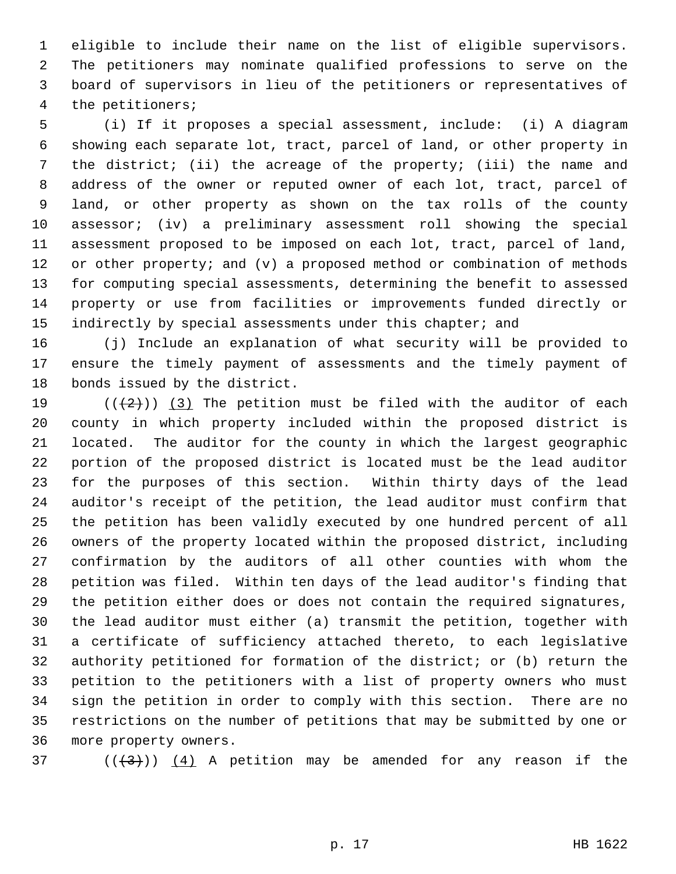1 eligible to include their name on the list of eligible supervisors. 2 The petitioners may nominate qualified professions to serve on the 3 board of supervisors in lieu of the petitioners or representatives of 4 the petitioners;

 5 (i) If it proposes a special assessment, include: (i) A diagram 6 showing each separate lot, tract, parcel of land, or other property in 7 the district; (ii) the acreage of the property; (iii) the name and 8 address of the owner or reputed owner of each lot, tract, parcel of 9 land, or other property as shown on the tax rolls of the county 10 assessor; (iv) a preliminary assessment roll showing the special 11 assessment proposed to be imposed on each lot, tract, parcel of land, 12 or other property; and (v) a proposed method or combination of methods 13 for computing special assessments, determining the benefit to assessed 14 property or use from facilities or improvements funded directly or 15 indirectly by special assessments under this chapter; and

16 (j) Include an explanation of what security will be provided to 17 ensure the timely payment of assessments and the timely payment of 18 bonds issued by the district.

19 ( $(\frac{1}{2})$ ) (3) The petition must be filed with the auditor of each 20 county in which property included within the proposed district is 21 located. The auditor for the county in which the largest geographic 22 portion of the proposed district is located must be the lead auditor 23 for the purposes of this section. Within thirty days of the lead 24 auditor's receipt of the petition, the lead auditor must confirm that 25 the petition has been validly executed by one hundred percent of all 26 owners of the property located within the proposed district, including 27 confirmation by the auditors of all other counties with whom the 28 petition was filed. Within ten days of the lead auditor's finding that 29 the petition either does or does not contain the required signatures, 30 the lead auditor must either (a) transmit the petition, together with 31 a certificate of sufficiency attached thereto, to each legislative 32 authority petitioned for formation of the district; or (b) return the 33 petition to the petitioners with a list of property owners who must 34 sign the petition in order to comply with this section. There are no 35 restrictions on the number of petitions that may be submitted by one or 36 more property owners.

37 ( $(\frac{43}{1})$ ) (4) A petition may be amended for any reason if the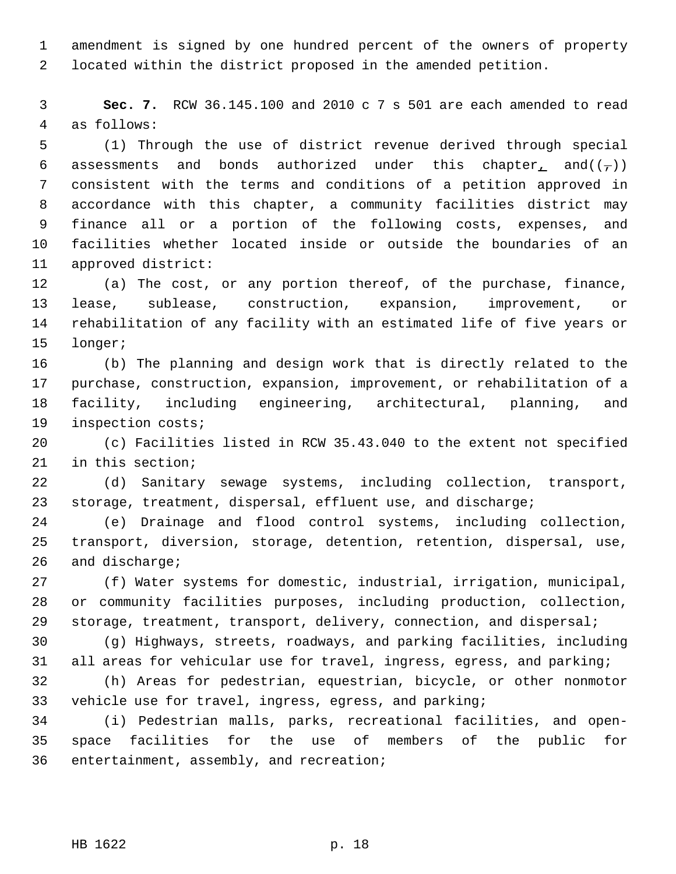1 amendment is signed by one hundred percent of the owners of property 2 located within the district proposed in the amended petition.

 3 **Sec. 7.** RCW 36.145.100 and 2010 c 7 s 501 are each amended to read 4 as follows:

 5 (1) Through the use of district revenue derived through special 6 assessments and bonds authorized under this chapter, and( $(\tau)$ ) 7 consistent with the terms and conditions of a petition approved in 8 accordance with this chapter, a community facilities district may 9 finance all or a portion of the following costs, expenses, and 10 facilities whether located inside or outside the boundaries of an 11 approved district:

12 (a) The cost, or any portion thereof, of the purchase, finance, 13 lease, sublease, construction, expansion, improvement, or 14 rehabilitation of any facility with an estimated life of five years or 15 longer;

16 (b) The planning and design work that is directly related to the 17 purchase, construction, expansion, improvement, or rehabilitation of a 18 facility, including engineering, architectural, planning, and 19 inspection costs;

20 (c) Facilities listed in RCW 35.43.040 to the extent not specified 21 in this section;

22 (d) Sanitary sewage systems, including collection, transport, 23 storage, treatment, dispersal, effluent use, and discharge;

24 (e) Drainage and flood control systems, including collection, 25 transport, diversion, storage, detention, retention, dispersal, use, 26 and discharge;

27 (f) Water systems for domestic, industrial, irrigation, municipal, 28 or community facilities purposes, including production, collection, 29 storage, treatment, transport, delivery, connection, and dispersal;

30 (g) Highways, streets, roadways, and parking facilities, including 31 all areas for vehicular use for travel, ingress, egress, and parking;

32 (h) Areas for pedestrian, equestrian, bicycle, or other nonmotor 33 vehicle use for travel, ingress, egress, and parking;

34 (i) Pedestrian malls, parks, recreational facilities, and open-35 space facilities for the use of members of the public for 36 entertainment, assembly, and recreation;